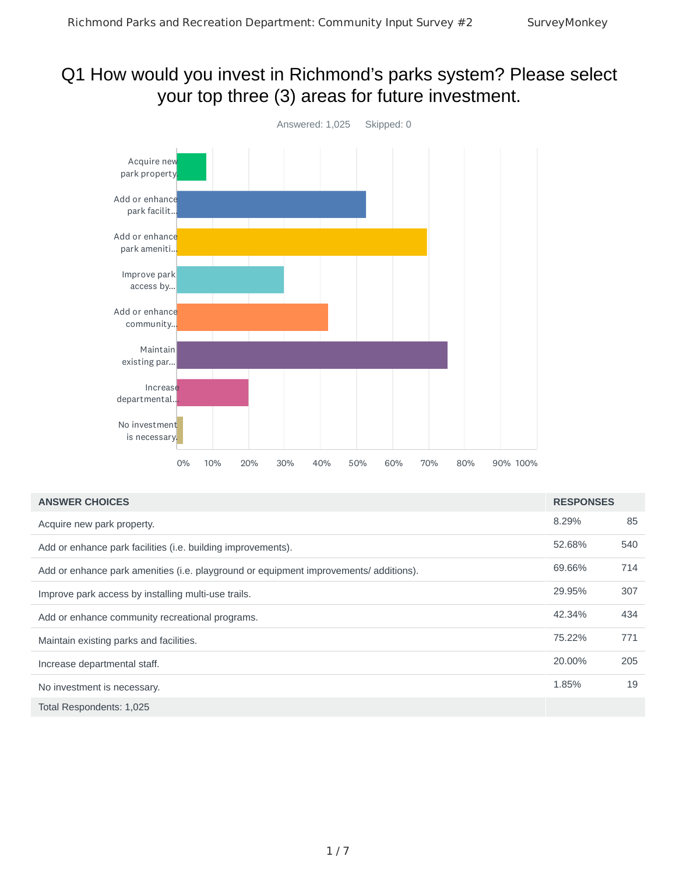# Q1 How would you invest in Richmond's parks system? Please select your top three (3) areas for future investment.



| <b>ANSWER CHOICES</b>                                                                 | <b>RESPONSES</b> |     |
|---------------------------------------------------------------------------------------|------------------|-----|
| Acquire new park property.                                                            | 8.29%            | 85  |
| Add or enhance park facilities (i.e. building improvements).                          | 52.68%           | 540 |
| Add or enhance park amenities (i.e. playground or equipment improvements/ additions). | 69.66%           | 714 |
| Improve park access by installing multi-use trails.                                   | 29.95%           | 307 |
| Add or enhance community recreational programs.                                       | 42.34%           | 434 |
| Maintain existing parks and facilities.                                               | 75.22%           | 771 |
| Increase departmental staff.                                                          | 20.00%           | 205 |
| No investment is necessary.                                                           | 1.85%            | 19  |
| Total Respondents: 1,025                                                              |                  |     |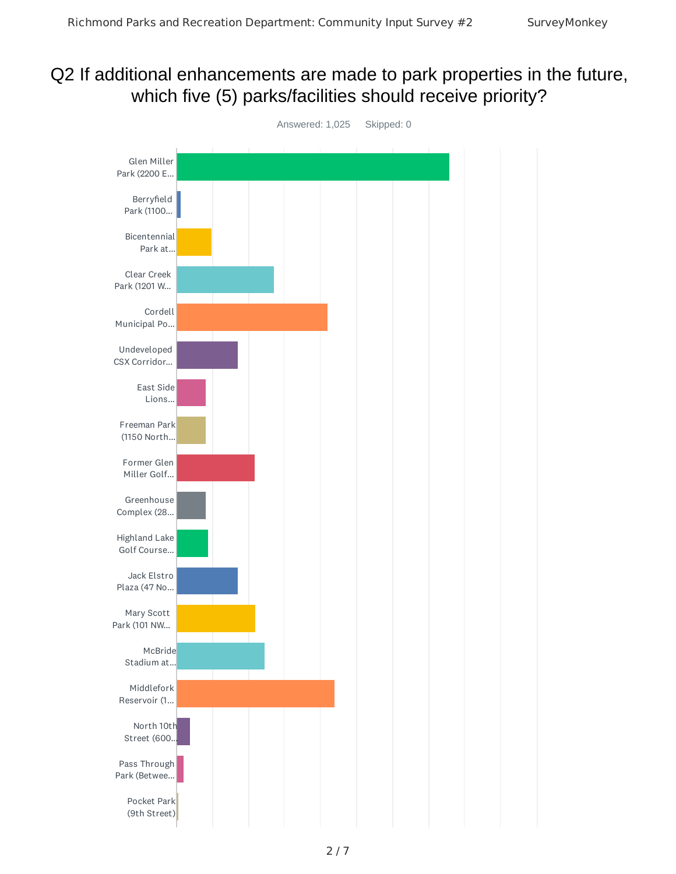# Q2 If additional enhancements are made to park properties in the future, which five (5) parks/facilities should receive priority?

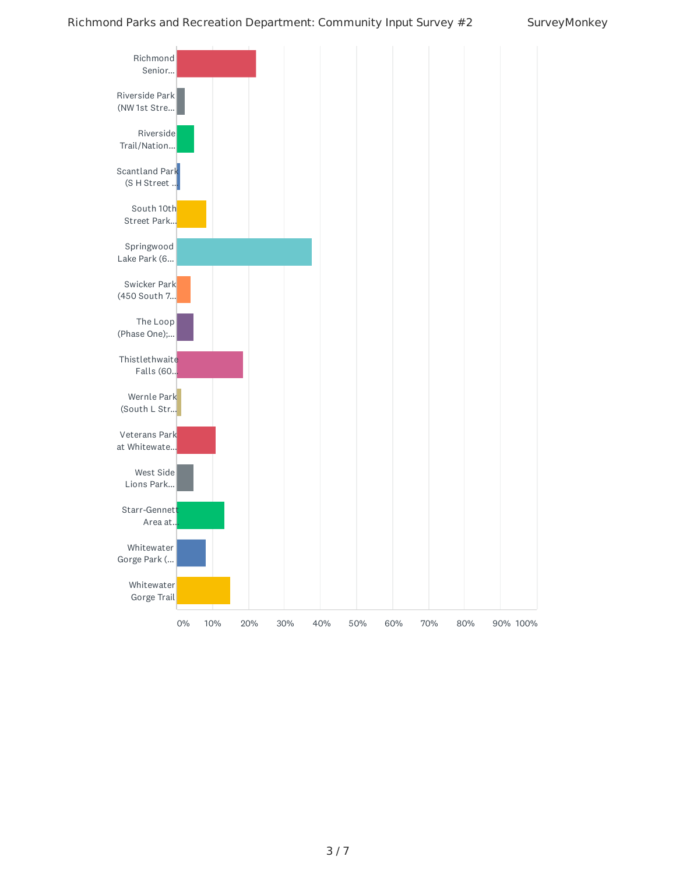#### Richmond Parks and Recreation Department: Community Input Survey #2 SurveyMonkey

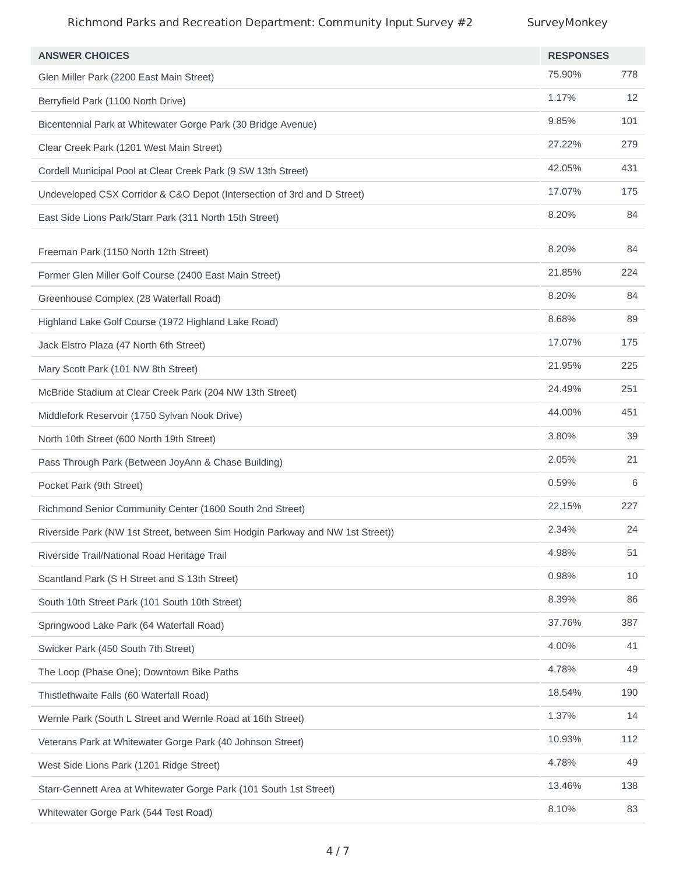### Richmond Parks and Recreation Department: Community Input Survey #2 SurveyMonkey

| <b>ANSWER CHOICES</b>                                                         | <b>RESPONSES</b> |     |
|-------------------------------------------------------------------------------|------------------|-----|
| Glen Miller Park (2200 East Main Street)                                      | 75.90%           | 778 |
| Berryfield Park (1100 North Drive)                                            | 1.17%            | 12  |
| Bicentennial Park at Whitewater Gorge Park (30 Bridge Avenue)                 | 9.85%            | 101 |
| Clear Creek Park (1201 West Main Street)                                      | 27.22%           | 279 |
| Cordell Municipal Pool at Clear Creek Park (9 SW 13th Street)                 | 42.05%           | 431 |
| Undeveloped CSX Corridor & C&O Depot (Intersection of 3rd and D Street)       | 17.07%           | 175 |
| East Side Lions Park/Starr Park (311 North 15th Street)                       | 8.20%            | 84  |
| Freeman Park (1150 North 12th Street)                                         | 8.20%            | 84  |
| Former Glen Miller Golf Course (2400 East Main Street)                        | 21.85%           | 224 |
| Greenhouse Complex (28 Waterfall Road)                                        | 8.20%            | 84  |
| Highland Lake Golf Course (1972 Highland Lake Road)                           | 8.68%            | 89  |
| Jack Elstro Plaza (47 North 6th Street)                                       | 17.07%           | 175 |
| Mary Scott Park (101 NW 8th Street)                                           | 21.95%           | 225 |
| McBride Stadium at Clear Creek Park (204 NW 13th Street)                      | 24.49%           | 251 |
| Middlefork Reservoir (1750 Sylvan Nook Drive)                                 | 44.00%           | 451 |
| North 10th Street (600 North 19th Street)                                     | 3.80%            | 39  |
| Pass Through Park (Between JoyAnn & Chase Building)                           | 2.05%            | 21  |
| Pocket Park (9th Street)                                                      | 0.59%            | 6   |
| Richmond Senior Community Center (1600 South 2nd Street)                      | 22.15%           | 227 |
| Riverside Park (NW 1st Street, between Sim Hodgin Parkway and NW 1st Street)) | 2.34%            | 24  |
| Riverside Trail/National Road Heritage Trail                                  | 4.98%            | 51  |
| Scantland Park (S H Street and S 13th Street)                                 | 0.98%            | 10  |
| South 10th Street Park (101 South 10th Street)                                | 8.39%            | 86  |
| Springwood Lake Park (64 Waterfall Road)                                      | 37.76%           | 387 |
| Swicker Park (450 South 7th Street)                                           | 4.00%            | 41  |
| The Loop (Phase One); Downtown Bike Paths                                     | 4.78%            | 49  |
| Thistlethwaite Falls (60 Waterfall Road)                                      | 18.54%           | 190 |
| Wernle Park (South L Street and Wernle Road at 16th Street)                   | 1.37%            | 14  |
| Veterans Park at Whitewater Gorge Park (40 Johnson Street)                    | 10.93%           | 112 |
| West Side Lions Park (1201 Ridge Street)                                      | 4.78%            | 49  |
| Starr-Gennett Area at Whitewater Gorge Park (101 South 1st Street)            | 13.46%           | 138 |
| Whitewater Gorge Park (544 Test Road)                                         | 8.10%            | 83  |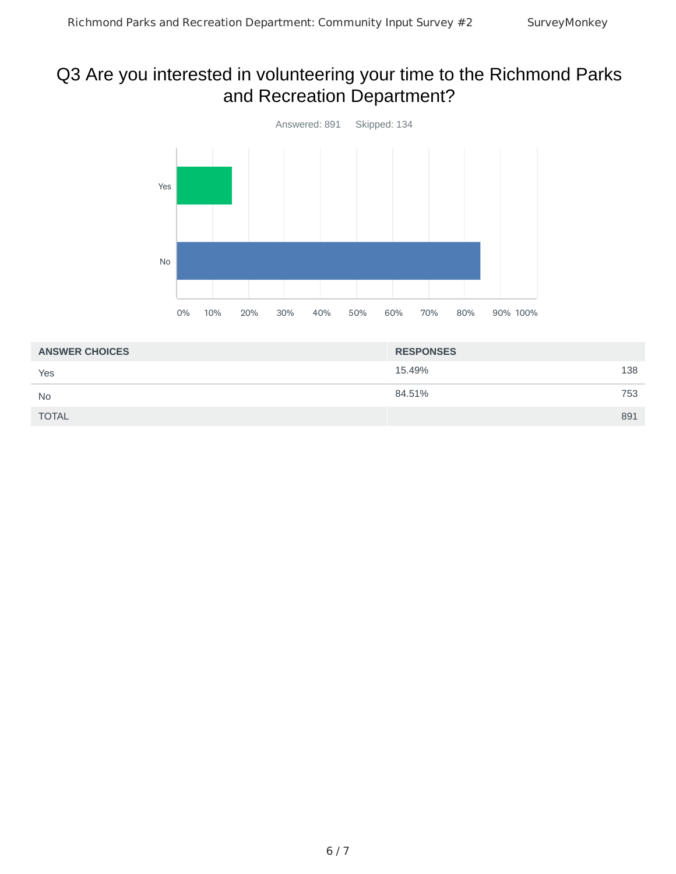# Q3 Are you interested in volunteering your time to the Richmond Parks and Recreation Department?



| <b>ANSWER CHOICES</b> | <b>RESPONSES</b> |     |
|-----------------------|------------------|-----|
| Yes                   | 15.49%           | 138 |
| <b>No</b>             | 84.51%           | 753 |
| <b>TOTAL</b>          |                  | 891 |